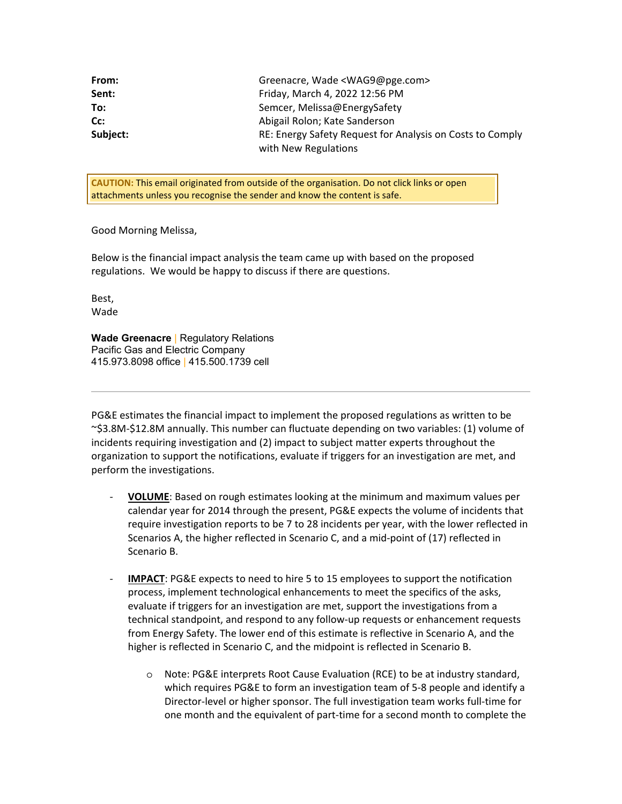| From:    | Greenacre, Wade <wag9@pge.com></wag9@pge.com>             |
|----------|-----------------------------------------------------------|
| Sent:    | Friday, March 4, 2022 12:56 PM                            |
| To:      | Semcer, Melissa@EnergySafety                              |
| Cc:      | Abigail Rolon; Kate Sanderson                             |
| Subject: | RE: Energy Safety Request for Analysis on Costs to Comply |
|          | with New Regulations                                      |

 **CAUTION:** This email originated from outside of the organisation. Do not click links or open attachments unless you recognise the sender and know the content is safe.

Good Morning Melissa,

 Below is the financial impact analysis the team came up with based on the proposed regulations. We would be happy to discuss if there are questions.

Best, Wade

 **Wade Greenacre** | Regulatory Relations Pacific Gas and Electric Company 415.973.8098 office | 415.500.1739 cell

 PG&E estimates the financial impact to implement the proposed regulations as written to be ~\$3.8M-\$12.8M annually. This number can fluctuate depending on two variables: (1) volume of incidents requiring investigation and (2) impact to subject matter experts throughout the organization to support the notifications, evaluate if triggers for an investigation are met, and perform the investigations.

- - **VOLUME**: Based on rough estimates looking at the minimum and maximum values per calendar year for 2014 through the present, PG&E expects the volume of incidents that require investigation reports to be 7 to 28 incidents per year, with the lower reflected in Scenarios A, the higher reflected in Scenario C, and a mid-point of (17) reflected in Scenario B.
- - **IMPACT**: PG&E expects to need to hire 5 to 15 employees to support the notification process, implement technological enhancements to meet the specifics of the asks, evaluate if triggers for an investigation are met, support the investigations from a technical standpoint, and respond to any follow-up requests or enhancement requests from Energy Safety. The lower end of this estimate is reflective in Scenario A, and the higher is reflected in Scenario C, and the midpoint is reflected in Scenario B.
	- o Note: PG&E interprets Root Cause Evaluation (RCE) to be at industry standard, which requires PG&E to form an investigation team of 5-8 people and identify a Director-level or higher sponsor. The full investigation team works full-time for one month and the equivalent of part-time for a second month to complete the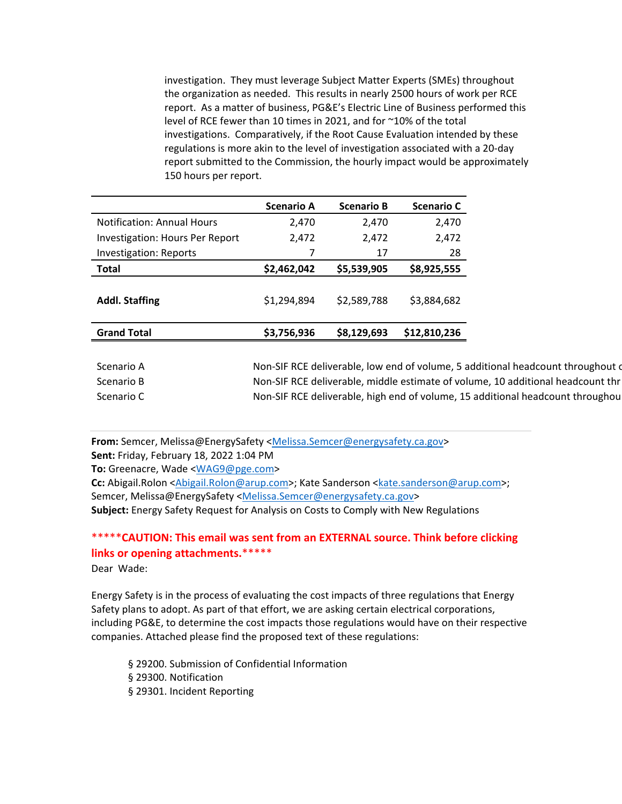investigation. They must leverage Subject Matter Experts (SMEs) throughout the organization as needed. This results in nearly 2500 hours of work per RCE report. As a matter of business, PG&E's Electric Line of Business performed this level of RCE fewer than 10 times in 2021, and for ~10% of the total investigations. Comparatively, if the Root Cause Evaluation intended by these regulations is more akin to the level of investigation associated with a 20-day report submitted to the Commission, the hourly impact would be approximately 150 hours per report.

|                                        | <b>Scenario A</b> | <b>Scenario B</b> | <b>Scenario C</b> |
|----------------------------------------|-------------------|-------------------|-------------------|
| <b>Notification: Annual Hours</b>      | 2,470             | 2.470             | 2,470             |
| <b>Investigation: Hours Per Report</b> | 2,472             | 2,472             | 2,472             |
| Investigation: Reports                 | 7                 | 17                | 28                |
| <b>Total</b>                           | \$2,462,042       | \$5,539,905       | \$8,925,555       |
| <b>Addl. Staffing</b>                  | \$1,294,894       | \$2,589,788       | \$3,884,682       |
| <b>Grand Total</b>                     | \$3,756,936       | \$8,129,693       | \$12,810,236      |
|                                        |                   |                   |                   |

Scenario A Scenario B Scenario C Non-SIF RCE deliverable, low end of volume, 5 additional headcount throughout on Non-SIF RCE deliverable, middle estimate of volume, 10 additional headcount thr Non-SIF RCE deliverable, high end of volume, 15 additional headcount throughou

From: [Semcer, Melissa@EnergySafety <Melissa.Semcer@energysafety.ca.gov>](https://Semcer,Melissa@EnergySafety<Melissa.Semcer@energysafety.ca.gov) **Sent:** Friday, February 18, 2022 1:04 PM

**To:** Greenacre, Wade [<WAG9@pge.com](mailto:WAG9@pge.com)>

Cc: Abigail.Rolon <Abigail.Rolon@arup.com>; Kate Sanderson <[kate.sanderson@arup.com>](mailto:kate.sanderson@arup.com); **Subject:** Energy Safety Request for Analysis on Costs to Comply with New Regulations Semcer, [Melissa@EnergySafety <Melissa.Semcer@energysafety.ca.gov>](https://Melissa@EnergySafety<Melissa.Semcer@energysafety.ca.gov)

## \*\*\*\*\***CAUTION: This email was sent from an EXTERNAL source. Think before clicking links or opening attachments.**\*\*\*\*\* Dear Wade:

 Energy Safety is in the process of evaluating the cost impacts of three regulations that Energy Safety plans to adopt. As part of that effort, we are asking certain electrical corporations, including PG&E, to determine the cost impacts those regulations would have on their respective companies. Attached please find the proposed text of these regulations:

 § 29200. Submission of Confidential Information § 29300. Notification § 29301. Incident Reporting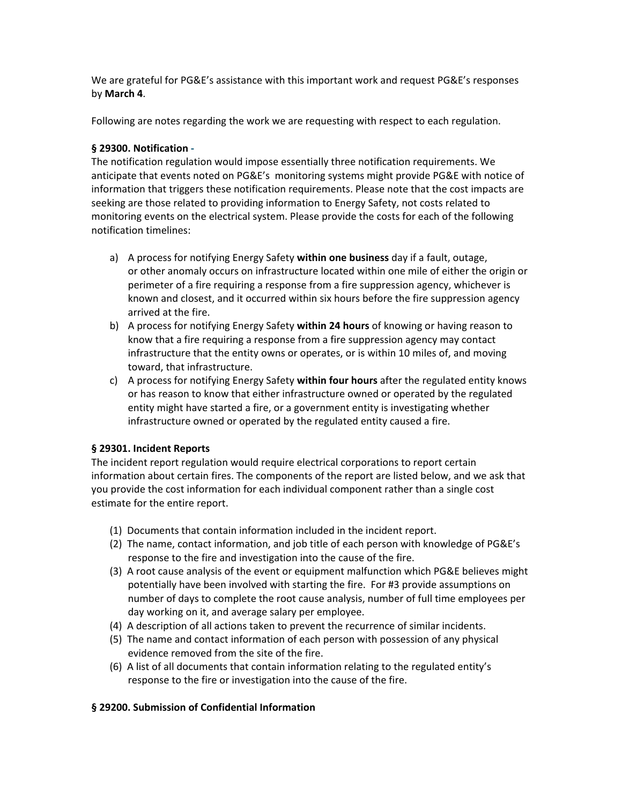We are grateful for PG&E's assistance with this important work and request PG&E's responses by **March 4**.

Following are notes regarding the work we are requesting with respect to each regulation.

## **§ 29300. Notification -**

 The notification regulation would impose [essentially three notification requirements. We](https://essentiallythreenotificationrequirements.We)  anticipate that events noted on PG&E's monitoring systems might provide PG&E with notice of information that triggers these notification requirements. Please note that the cost impacts are seeking are those related to providing information to Energy Safety, not costs related to monitoring events on the electrical system. Please provide the costs for each of the following notification timelines:

- a) A process for notifying Energy Safety **within one business** day if a fault, outage, or other anomaly occurs on infrastructure located within one mile of either the origin or perimeter of a fire requiring a response from a fire suppression agency, whichever is known and closest, and it occurred within six hours before the fire suppression agency arrived at the fire.
- b) A process for notifying Energy Safety **within 24 hours** of knowing or having reason to know that a fire requiring a response from a fire suppression agency may contact infrastructure that the entity owns or operates, or is within 10 miles of, and moving toward, that infrastructure.
- c) A process for notifying Energy Safety **within four hours** after the regulated entity knows or has reason to know that either infrastructure owned or operated by the regulated entity might have started a fire, or a government entity is investigating whether infrastructure owned or operated by the regulated entity caused a fire.

## **§ 29301. Incident Reports**

 The incident report regulation would require electrical corporations to report certain information about certain fires. The components of the report are listed below, and we ask that you provide the cost information for each individual component rather than a single cost estimate for the entire report.

- (1) Documents that contain information included in the incident report.
- (2) The name, contact information, and job title of each person with knowledge of PG&E's response to the fire and investigation into the cause of the fire.
- (3) A root cause analysis of the event or equipment malfunction which PG&E believes might potentially have been involved with starting the fire. For #3 provide assumptions on number of days to complete the root cause analysis, number of full time employees per day working on it, and average salary per employee.
- (4) A description of all actions taken to prevent the recurrence of similar incidents.
- (5) The name and contact information of each person with possession of any physical evidence removed from the site of the fire.
- (6) A list of all documents that contain information relating to the regulated entity's response to the fire or investigation into the cause of the fire.

#### **§ 29200. Submission of Confidential Information**